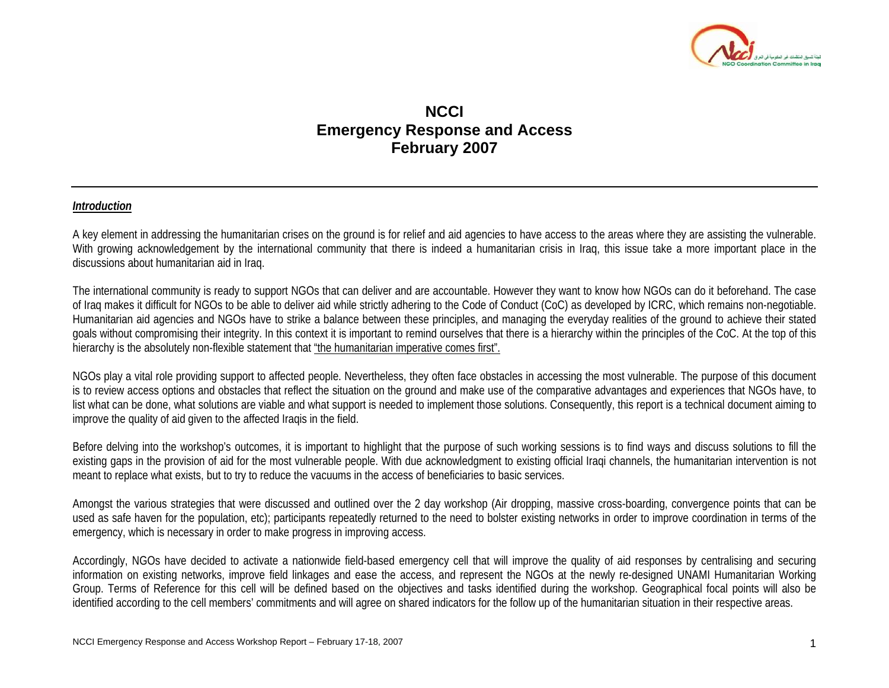

# **NCCI Emergency Response and Access February 2007**

#### *Introduction*

A key element in addressing the humanitarian crises on the ground is for relief and aid agencies to have access to the areas where they are assisting the vulnerable. With growing acknowledgement by the international community that there is indeed a humanitarian crisis in Iraq, this issue take a more important place in the discussions about humanitarian aid in Iraq.

The international community is ready to support NGOs that can deliver and are accountable. However they want to know how NGOs can do it beforehand. The case of Iraq makes it difficult for NGOs to be able to deliver aid while strictly adhering to the Code of Conduct (CoC) as developed by ICRC, which remains non-negotiable. Humanitarian aid agencies and NGOs have to strike a balance between these principles, and managing the everyday realities of the ground to achieve their stated goals without compromising their integrity. In this context it is important to remind ourselves that there is a hierarchy within the principles of the CoC. At the top of this hierarchy is the absolutely non-flexible statement that "the humanitarian imperative comes first".

NGOs play a vital role providing support to affected people. Nevertheless, they often face obstacles in accessing the most vulnerable. The purpose of this document is to review access options and obstacles that reflect the situation on the ground and make use of the comparative advantages and experiences that NGOs have, to list what can be done, what solutions are viable and what support is needed to implement those solutions. Consequently, this report is a technical document aiming to improve the quality of aid given to the affected Iraqis in the field.

Before delving into the workshop's outcomes, it is important to highlight that the purpose of such working sessions is to find ways and discuss solutions to fill the existing gaps in the provision of aid for the most vulnerable people. With due acknowledgment to existing official Iraqi channels, the humanitarian intervention is not meant to replace what exists, but to try to reduce the vacuums in the access of beneficiaries to basic services.

Amongst the various strategies that were discussed and outlined over the 2 day workshop (Air dropping, massive cross-boarding, convergence points that can be used as safe haven for the population, etc); participants repeatedly returned to the need to bolster existing networks in order to improve coordination in terms of the emergency, which is necessary in order to make progress in improving access.

Accordingly, NGOs have decided to activate a nationwide field-based emergency cell that will improve the quality of aid responses by centralising and securing information on existing networks, improve field linkages and ease the access, and represent the NGOs at the newly re-designed UNAMI Humanitarian Working Group. Terms of Reference for this cell will be defined based on the objectives and tasks identified during the workshop. Geographical focal points will also be identified according to the cell members' commitments and will agree on shared indicators for the follow up of the humanitarian situation in their respective areas.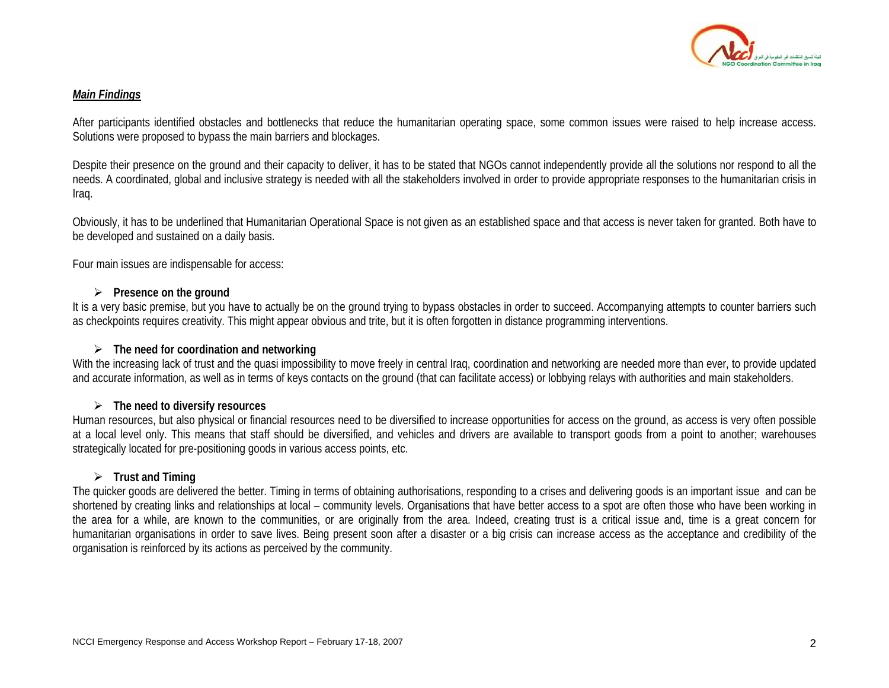

#### *Main Findings*

After participants identified obstacles and bottlenecks that reduce the humanitarian operating space, some common issues were raised to help increase access. Solutions were proposed to bypass the main barriers and blockages.

Despite their presence on the ground and their capacity to deliver, it has to be stated that NGOs cannot independently provide all the solutions nor respond to all the needs. A coordinated, global and inclusive strategy is needed with all the stakeholders involved in order to provide appropriate responses to the humanitarian crisis in Iraq.

Obviously, it has to be underlined that Humanitarian Operational Space is not given as an established space and that access is never taken for granted. Both have to be developed and sustained on a daily basis.

Four main issues are indispensable for access:

## ¾ **Presence on the ground**

It is a very basic premise, but you have to actually be on the ground trying to bypass obstacles in order to succeed. Accompanying attempts to counter barriers such as checkpoints requires creativity. This might appear obvious and trite, but it is often forgotten in distance programming interventions.

## ¾ **The need for coordination and networking**

With the increasing lack of trust and the quasi impossibility to move freely in central Iraq, coordination and networking are needed more than ever, to provide updated and accurate information, as well as in terms of keys contacts on the ground (that can facilitate access) or lobbying relays with authorities and main stakeholders.

## ¾ **The need to diversify resources**

Human resources, but also physical or financial resources need to be diversified to increase opportunities for access on the ground, as access is very often possible at a local level only. This means that staff should be diversified, and vehicles and drivers are available to transport goods from a point to another; warehouses strategically located for pre-positioning goods in various access points, etc.

## ¾ **Trust and Timing**

The quicker goods are delivered the better. Timing in terms of obtaining authorisations, responding to a crises and delivering goods is an important issue and can be shortened by creating links and relationships at local – community levels. Organisations that have better access to a spot are often those who have been working in the area for a while, are known to the communities, or are originally from the area. Indeed, creating trust is a critical issue and, time is a great concern for humanitarian organisations in order to save lives. Being present soon after a disaster or a big crisis can increase access as the acceptance and credibility of the organisation is reinforced by its actions as perceived by the community.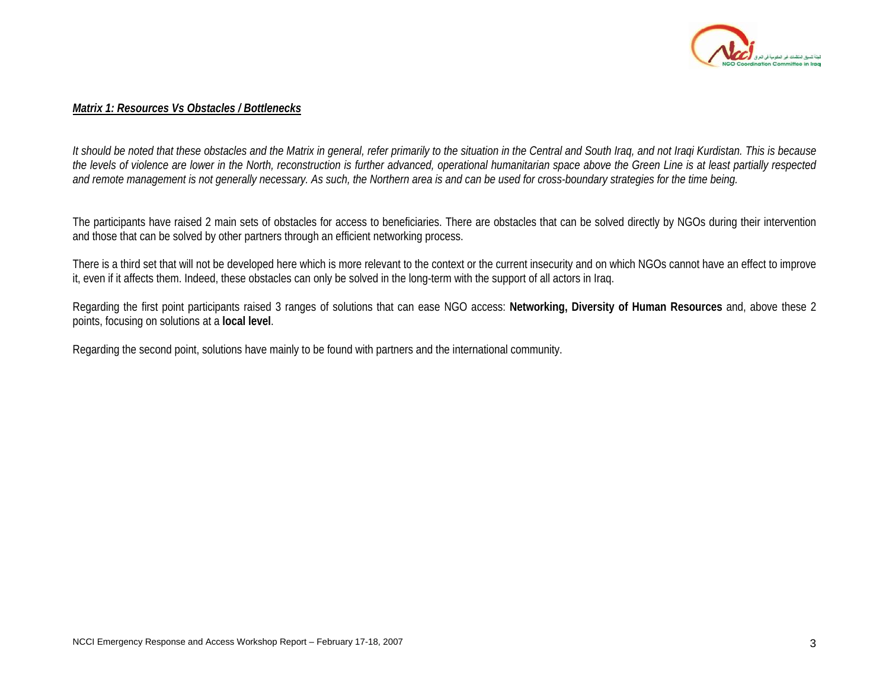

#### *Matrix 1: Resources Vs Obstacles / Bottlenecks*

*It should be noted that these obstacles and the Matrix in general, refer primarily to the situation in the Central and South Iraq, and not Iraqi Kurdistan. This is because the levels of violence are lower in the North, reconstruction is further advanced, operational humanitarian space above the Green Line is at least partially respected and remote management is not generally necessary. As such, the Northern area is and can be used for cross-boundary strategies for the time being.*

The participants have raised 2 main sets of obstacles for access to beneficiaries. There are obstacles that can be solved directly by NGOs during their intervention and those that can be solved by other partners through an efficient networking process.

There is a third set that will not be developed here which is more relevant to the context or the current insecurity and on which NGOs cannot have an effect to improve it, even if it affects them. Indeed, these obstacles can only be solved in the long-term with the support of all actors in Iraq.

Regarding the first point participants raised 3 ranges of solutions that can ease NGO access: **Networking, Diversity of Human Resources** and, above these 2 points, focusing on solutions at a **local level**.

Regarding the second point, solutions have mainly to be found with partners and the international community.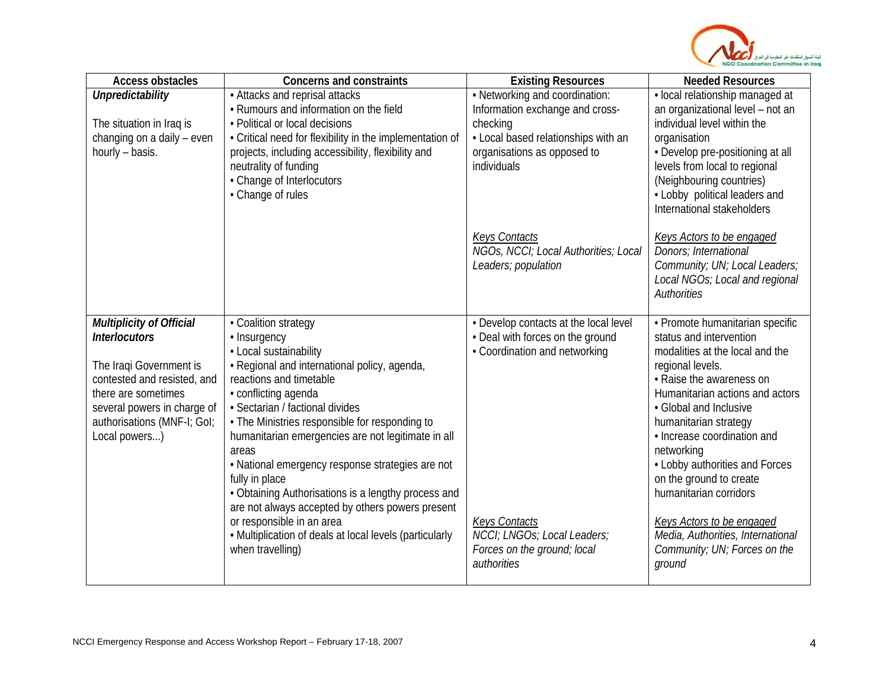

| <b>Access obstacles</b>     | <b>Concerns and constraints</b>                                             | <b>Existing Resources</b>                           | <b>Needed Resources</b>                                               |
|-----------------------------|-----------------------------------------------------------------------------|-----------------------------------------------------|-----------------------------------------------------------------------|
| Unpredictability            | • Attacks and reprisal attacks                                              | • Networking and coordination:                      | · local relationship managed at                                       |
|                             | • Rumours and information on the field                                      | Information exchange and cross-                     | an organizational level - not an                                      |
| The situation in Iraq is    | • Political or local decisions                                              | checking                                            | individual level within the                                           |
| changing on a daily - even  | • Critical need for flexibility in the implementation of                    | • Local based relationships with an                 | organisation                                                          |
| hourly - basis.             | projects, including accessibility, flexibility and<br>neutrality of funding | organisations as opposed to<br>individuals          | • Develop pre-positioning at all<br>levels from local to regional     |
|                             | • Change of Interlocutors                                                   |                                                     | (Neighbouring countries)                                              |
|                             | • Change of rules                                                           |                                                     | • Lobby political leaders and                                         |
|                             |                                                                             |                                                     | International stakeholders                                            |
|                             |                                                                             | <b>Keys Contacts</b>                                | <b>Keys Actors to be engaged</b>                                      |
|                             |                                                                             | NGOs, NCCI; Local Authorities; Local                | Donors; International                                                 |
|                             |                                                                             | Leaders; population                                 | Community; UN; Local Leaders;<br>Local NGOs; Local and regional       |
|                             |                                                                             |                                                     | <b>Authorities</b>                                                    |
|                             |                                                                             |                                                     |                                                                       |
| Multiplicity of Official    | • Coalition strategy                                                        | • Develop contacts at the local level               | • Promote humanitarian specific                                       |
| <b>Interlocutors</b>        | • Insurgency                                                                | • Deal with forces on the ground                    | status and intervention                                               |
| The Iraqi Government is     | • Local sustainability<br>• Regional and international policy, agenda,      | • Coordination and networking                       | modalities at the local and the<br>regional levels.                   |
| contested and resisted, and | reactions and timetable                                                     |                                                     | • Raise the awareness on                                              |
| there are sometimes         | • conflicting agenda                                                        |                                                     | Humanitarian actions and actors                                       |
| several powers in charge of | · Sectarian / factional divides                                             |                                                     | • Global and Inclusive                                                |
| authorisations (MNF-I; GoI; | • The Ministries responsible for responding to                              |                                                     | humanitarian strategy                                                 |
| Local powers)               | humanitarian emergencies are not legitimate in all                          |                                                     | • Increase coordination and                                           |
|                             | areas<br>• National emergency response strategies are not                   |                                                     | networking<br>• Lobby authorities and Forces                          |
|                             | fully in place                                                              |                                                     | on the ground to create                                               |
|                             | • Obtaining Authorisations is a lengthy process and                         |                                                     | humanitarian corridors                                                |
|                             | are not always accepted by others powers present                            |                                                     |                                                                       |
|                             | or responsible in an area                                                   | <b>Keys Contacts</b><br>NCCI; LNGOs; Local Leaders; | <b>Keys Actors to be engaged</b><br>Media, Authorities, International |
|                             | • Multiplication of deals at local levels (particularly<br>when travelling) | Forces on the ground; local                         | Community; UN; Forces on the                                          |
|                             |                                                                             | authorities                                         | ground                                                                |
|                             |                                                                             |                                                     |                                                                       |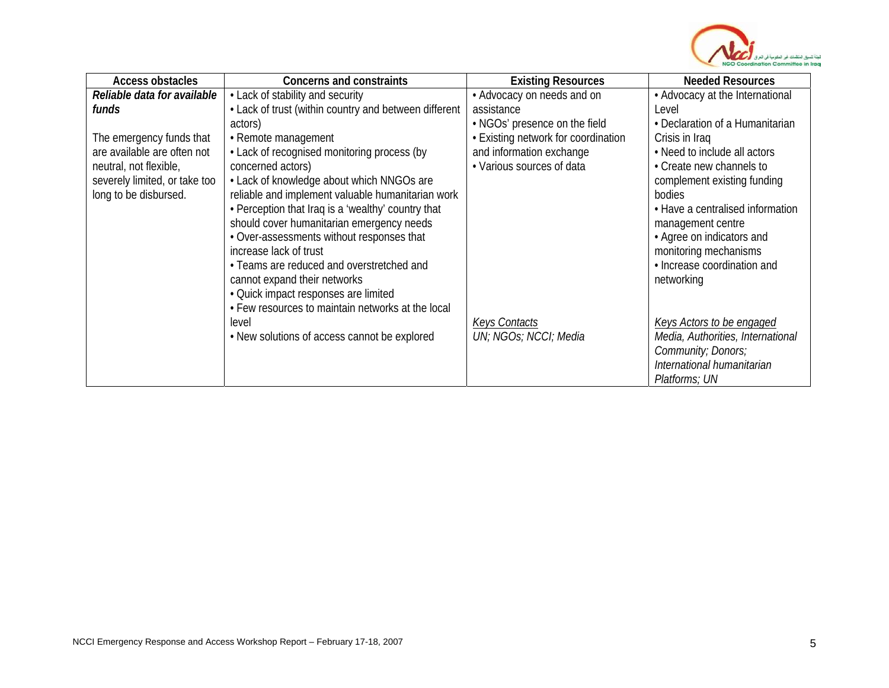

| <b>Access obstacles</b>       | <b>Concerns and constraints</b>                       | <b>Existing Resources</b>           | <b>Needed Resources</b>           |
|-------------------------------|-------------------------------------------------------|-------------------------------------|-----------------------------------|
| Reliable data for available   | • Lack of stability and security                      | • Advocacy on needs and on          | • Advocacy at the International   |
| funds                         | • Lack of trust (within country and between different | assistance                          | Level                             |
|                               | actors)                                               | • NGOs' presence on the field       | • Declaration of a Humanitarian   |
| The emergency funds that      | • Remote management                                   | • Existing network for coordination | Crisis in Iraq                    |
| are available are often not   | • Lack of recognised monitoring process (by           | and information exchange            | • Need to include all actors      |
| neutral, not flexible,        | concerned actors)                                     | • Various sources of data           | • Create new channels to          |
| severely limited, or take too | • Lack of knowledge about which NNGOs are             |                                     | complement existing funding       |
| long to be disbursed.         | reliable and implement valuable humanitarian work     |                                     | bodies                            |
|                               | • Perception that Iraq is a 'wealthy' country that    |                                     | • Have a centralised information  |
|                               | should cover humanitarian emergency needs             |                                     | management centre                 |
|                               | • Over-assessments without responses that             |                                     | • Agree on indicators and         |
|                               | increase lack of trust                                |                                     | monitoring mechanisms             |
|                               | • Teams are reduced and overstretched and             |                                     | • Increase coordination and       |
|                               | cannot expand their networks                          |                                     | networking                        |
|                               | • Quick impact responses are limited                  |                                     |                                   |
|                               | • Few resources to maintain networks at the local     |                                     |                                   |
|                               | level                                                 | <b>Keys Contacts</b>                | Keys Actors to be engaged         |
|                               | • New solutions of access cannot be explored          | UN; NGOs; NCCI; Media               | Media, Authorities, International |
|                               |                                                       |                                     | Community; Donors;                |
|                               |                                                       |                                     | International humanitarian        |
|                               |                                                       |                                     | Platforms; UN                     |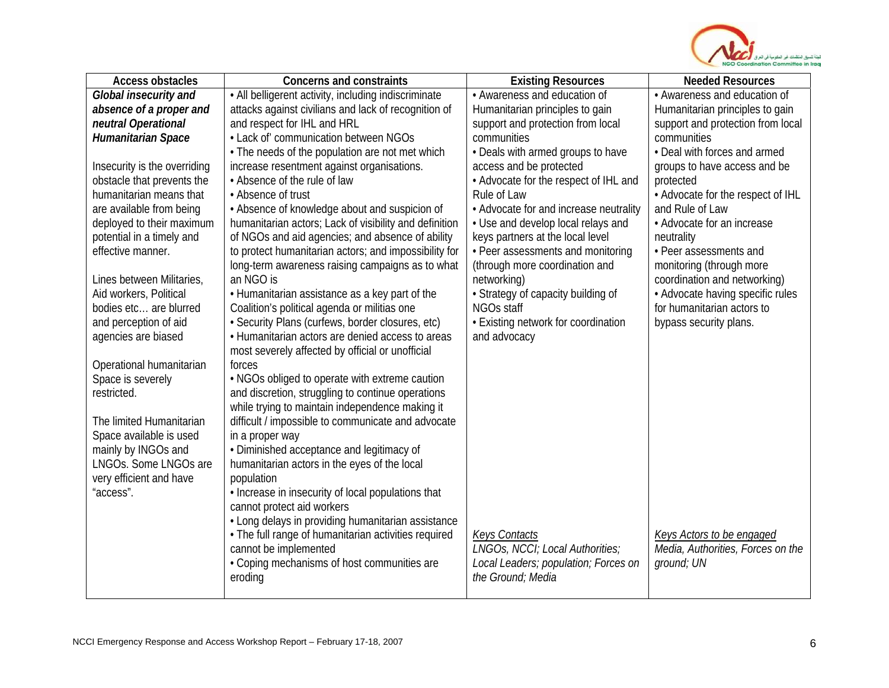

| <b>Access obstacles</b>                      | <b>Concerns and constraints</b>                                                           | <b>Existing Resources</b>              | <b>Needed Resources</b>           |
|----------------------------------------------|-------------------------------------------------------------------------------------------|----------------------------------------|-----------------------------------|
| Global insecurity and                        | • All belligerent activity, including indiscriminate                                      | • Awareness and education of           | • Awareness and education of      |
| absence of a proper and                      | attacks against civilians and lack of recognition of                                      | Humanitarian principles to gain        | Humanitarian principles to gain   |
| neutral Operational                          | and respect for IHL and HRL                                                               | support and protection from local      | support and protection from local |
| Humanitarian Space                           | • Lack of' communication between NGOs                                                     | communities                            | communities                       |
|                                              | • The needs of the population are not met which                                           | • Deals with armed groups to have      | • Deal with forces and armed      |
| Insecurity is the overriding                 | increase resentment against organisations.                                                | access and be protected                | groups to have access and be      |
| obstacle that prevents the                   | • Absence of the rule of law                                                              | • Advocate for the respect of IHL and  | protected                         |
| humanitarian means that                      | • Absence of trust                                                                        | Rule of Law                            | • Advocate for the respect of IHL |
| are available from being                     | • Absence of knowledge about and suspicion of                                             | • Advocate for and increase neutrality | and Rule of Law                   |
| deployed to their maximum                    | humanitarian actors; Lack of visibility and definition                                    | • Use and develop local relays and     | • Advocate for an increase        |
| potential in a timely and                    | of NGOs and aid agencies; and absence of ability                                          | keys partners at the local level       | neutrality                        |
| effective manner.                            | to protect humanitarian actors; and impossibility for                                     | • Peer assessments and monitoring      | • Peer assessments and            |
|                                              | long-term awareness raising campaigns as to what                                          | (through more coordination and         | monitoring (through more          |
| Lines between Militaries,                    | an NGO is                                                                                 | networking)                            | coordination and networking)      |
| Aid workers, Political                       | • Humanitarian assistance as a key part of the                                            | • Strategy of capacity building of     | • Advocate having specific rules  |
| bodies etc are blurred                       | Coalition's political agenda or militias one                                              | NGOs staff                             | for humanitarian actors to        |
| and perception of aid                        | · Security Plans (curfews, border closures, etc)                                          | • Existing network for coordination    | bypass security plans.            |
| agencies are biased                          | • Humanitarian actors are denied access to areas                                          | and advocacy                           |                                   |
|                                              | most severely affected by official or unofficial                                          |                                        |                                   |
| Operational humanitarian                     | forces                                                                                    |                                        |                                   |
| Space is severely                            | . NGOs obliged to operate with extreme caution                                            |                                        |                                   |
| restricted.                                  | and discretion, struggling to continue operations                                         |                                        |                                   |
|                                              | while trying to maintain independence making it                                           |                                        |                                   |
| The limited Humanitarian                     | difficult / impossible to communicate and advocate                                        |                                        |                                   |
| Space available is used                      | in a proper way                                                                           |                                        |                                   |
| mainly by INGOs and<br>LNGOs. Some LNGOs are | • Diminished acceptance and legitimacy of<br>humanitarian actors in the eyes of the local |                                        |                                   |
| very efficient and have                      | population                                                                                |                                        |                                   |
| "access".                                    | . Increase in insecurity of local populations that                                        |                                        |                                   |
|                                              | cannot protect aid workers                                                                |                                        |                                   |
|                                              | • Long delays in providing humanitarian assistance                                        |                                        |                                   |
|                                              | • The full range of humanitarian activities required                                      | <b>Keys Contacts</b>                   | Keys Actors to be engaged         |
|                                              | cannot be implemented                                                                     | LNGOs, NCCI; Local Authorities;        | Media, Authorities, Forces on the |
|                                              | • Coping mechanisms of host communities are                                               | Local Leaders; population; Forces on   | ground; UN                        |
|                                              | eroding                                                                                   | the Ground; Media                      |                                   |
|                                              |                                                                                           |                                        |                                   |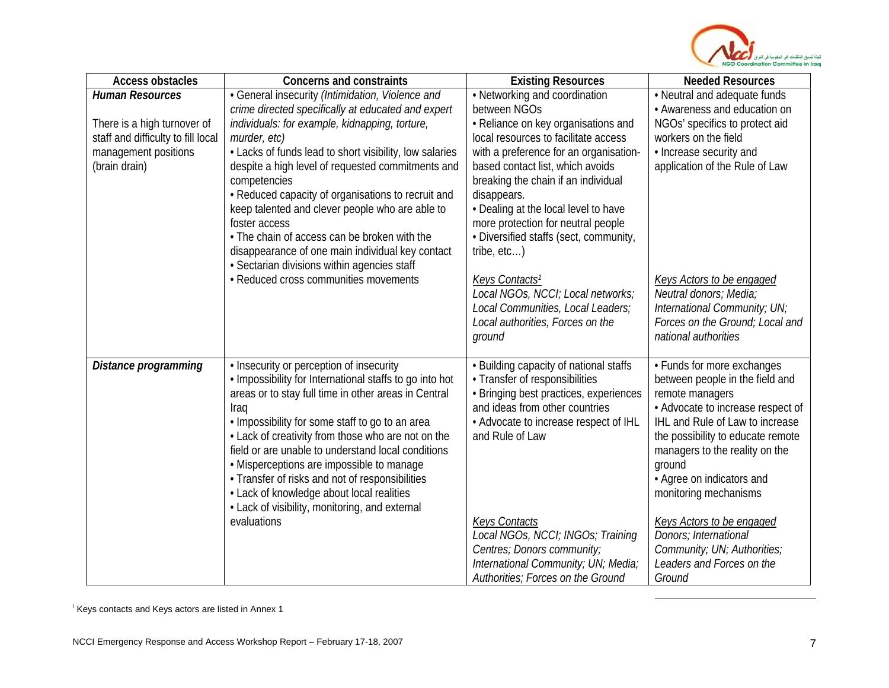<span id="page-6-0"></span>

| <b>Access obstacles</b>            | <b>Concerns and constraints</b>                                                                 | <b>Existing Resources</b>                          | <b>Needed Resources</b>                                 |
|------------------------------------|-------------------------------------------------------------------------------------------------|----------------------------------------------------|---------------------------------------------------------|
| <b>Human Resources</b>             | • General insecurity (Intimidation, Violence and                                                | • Networking and coordination                      | • Neutral and adequate funds                            |
|                                    | crime directed specifically at educated and expert                                              | between NGOs                                       | • Awareness and education on                            |
| There is a high turnover of        | individuals: for example, kidnapping, torture,                                                  | • Reliance on key organisations and                | NGOs' specifics to protect aid                          |
| staff and difficulty to fill local | murder, etc)                                                                                    | local resources to facilitate access               | workers on the field                                    |
| management positions               | • Lacks of funds lead to short visibility, low salaries                                         | with a preference for an organisation-             | • Increase security and                                 |
| (brain drain)                      | despite a high level of requested commitments and                                               | based contact list, which avoids                   | application of the Rule of Law                          |
|                                    | competencies<br>• Reduced capacity of organisations to recruit and                              | breaking the chain if an individual<br>disappears. |                                                         |
|                                    | keep talented and clever people who are able to                                                 | • Dealing at the local level to have               |                                                         |
|                                    | foster access                                                                                   | more protection for neutral people                 |                                                         |
|                                    | • The chain of access can be broken with the                                                    | · Diversified staffs (sect, community,             |                                                         |
|                                    | disappearance of one main individual key contact                                                | tribe, $etc$ )                                     |                                                         |
|                                    | · Sectarian divisions within agencies staff                                                     |                                                    |                                                         |
|                                    | • Reduced cross communities movements                                                           | Keys Contacts <sup>1</sup>                         | Keys Actors to be engaged                               |
|                                    |                                                                                                 | Local NGOs, NCCI; Local networks;                  | Neutral donors; Media;                                  |
|                                    |                                                                                                 | Local Communities, Local Leaders;                  | International Community; UN;                            |
|                                    |                                                                                                 | Local authorities, Forces on the                   | Forces on the Ground; Local and<br>national authorities |
|                                    |                                                                                                 | ground                                             |                                                         |
| Distance programming               | • Insecurity or perception of insecurity                                                        | • Building capacity of national staffs             | • Funds for more exchanges                              |
|                                    | . Impossibility for International staffs to go into hot                                         | • Transfer of responsibilities                     | between people in the field and                         |
|                                    | areas or to stay full time in other areas in Central                                            | · Bringing best practices, experiences             | remote managers                                         |
|                                    | Iraq                                                                                            | and ideas from other countries                     | • Advocate to increase respect of                       |
|                                    | . Impossibility for some staff to go to an area                                                 | • Advocate to increase respect of IHL              | IHL and Rule of Law to increase                         |
|                                    | • Lack of creativity from those who are not on the                                              | and Rule of Law                                    | the possibility to educate remote                       |
|                                    | field or are unable to understand local conditions<br>• Misperceptions are impossible to manage |                                                    | managers to the reality on the<br>ground                |
|                                    | • Transfer of risks and not of responsibilities                                                 |                                                    | • Agree on indicators and                               |
|                                    | • Lack of knowledge about local realities                                                       |                                                    | monitoring mechanisms                                   |
|                                    | • Lack of visibility, monitoring, and external                                                  |                                                    |                                                         |
|                                    | evaluations                                                                                     | <b>Keys Contacts</b>                               | <b>Keys Actors to be engaged</b>                        |
|                                    |                                                                                                 | Local NGOs, NCCI; INGOs; Training                  | Donors; International                                   |
|                                    |                                                                                                 | Centres; Donors community;                         | Community; UN; Authorities;                             |
|                                    |                                                                                                 | International Community; UN; Media;                | Leaders and Forces on the                               |
|                                    |                                                                                                 | Authorities; Forces on the Ground                  | Ground                                                  |

! Keys contacts and Keys actors are listed in Annex 1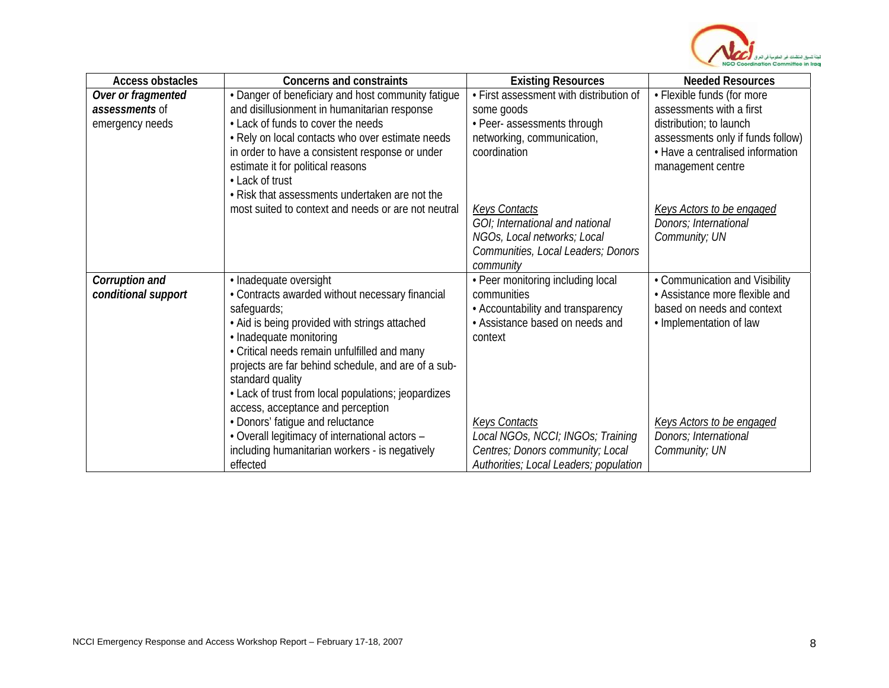

| <b>Access obstacles</b> | <b>Concerns and constraints</b>                     | <b>Existing Resources</b>               | <b>Needed Resources</b>           |
|-------------------------|-----------------------------------------------------|-----------------------------------------|-----------------------------------|
| Over or fragmented      | • Danger of beneficiary and host community fatigue  | • First assessment with distribution of | • Flexible funds (for more        |
| <i>assessments</i> of   | and disillusionment in humanitarian response        | some goods                              | assessments with a first          |
| emergency needs         | • Lack of funds to cover the needs                  | • Peer- assessments through             | distribution; to launch           |
|                         | . Rely on local contacts who over estimate needs    | networking, communication,              | assessments only if funds follow) |
|                         | in order to have a consistent response or under     | coordination                            | • Have a centralised information  |
|                         | estimate it for political reasons                   |                                         | management centre                 |
|                         | • Lack of trust                                     |                                         |                                   |
|                         | • Risk that assessments undertaken are not the      |                                         |                                   |
|                         | most suited to context and needs or are not neutral | <b>Keys Contacts</b>                    | <b>Keys Actors to be engaged</b>  |
|                         |                                                     | GOI; International and national         | Donors; International             |
|                         |                                                     | NGOs, Local networks; Local             | Community; UN                     |
|                         |                                                     | Communities, Local Leaders; Donors      |                                   |
|                         |                                                     | community                               |                                   |
| Corruption and          | · Inadequate oversight                              | • Peer monitoring including local       | • Communication and Visibility    |
| conditional support     | • Contracts awarded without necessary financial     | communities                             | • Assistance more flexible and    |
|                         | safeguards;                                         | • Accountability and transparency       | based on needs and context        |
|                         | • Aid is being provided with strings attached       | • Assistance based on needs and         | • Implementation of law           |
|                         | • Inadequate monitoring                             | context                                 |                                   |
|                         | • Critical needs remain unfulfilled and many        |                                         |                                   |
|                         | projects are far behind schedule, and are of a sub- |                                         |                                   |
|                         | standard quality                                    |                                         |                                   |
|                         | • Lack of trust from local populations; jeopardizes |                                         |                                   |
|                         | access, acceptance and perception                   |                                         |                                   |
|                         | • Donors' fatigue and reluctance                    | <b>Keys Contacts</b>                    | <b>Keys Actors to be engaged</b>  |
|                         | • Overall legitimacy of international actors -      | Local NGOs, NCCI; INGOs; Training       | Donors; International             |
|                         | including humanitarian workers - is negatively      | Centres; Donors community; Local        | Community; UN                     |
|                         | effected                                            | Authorities; Local Leaders; population  |                                   |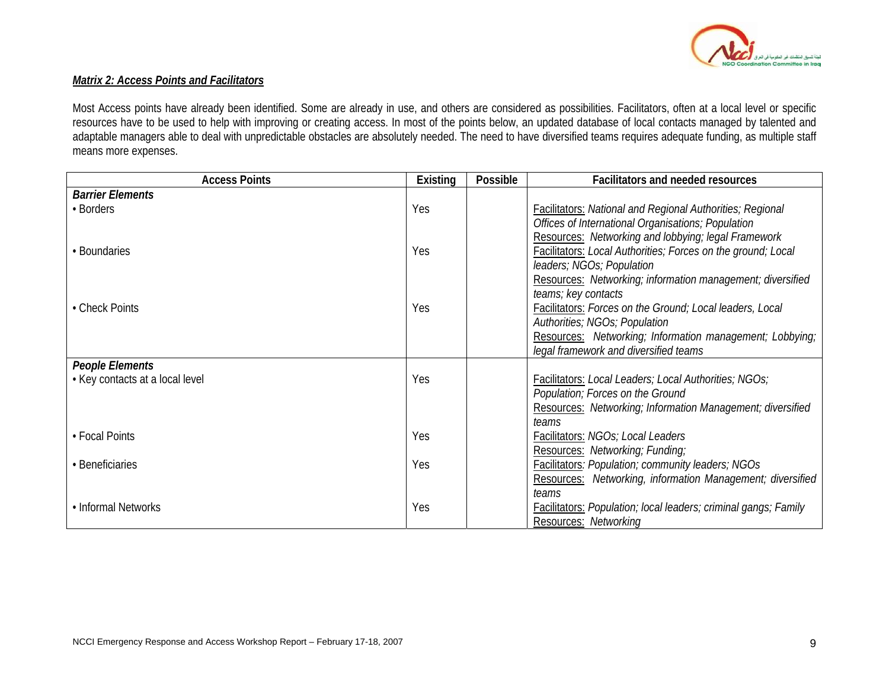

## *Matrix 2: Access Points and Facilitators*

Most Access points have already been identified. Some are already in use, and others are considered as possibilities. Facilitators, often at a local level or specific resources have to be used to help with improving or creating access. In most of the points below, an updated database of local contacts managed by talented and adaptable managers able to deal with unpredictable obstacles are absolutely needed. The need to have diversified teams requires adequate funding, as multiple staff means more expenses.

| <b>Access Points</b>            | Existing | Possible | <b>Facilitators and needed resources</b>                                                          |
|---------------------------------|----------|----------|---------------------------------------------------------------------------------------------------|
| <b>Barrier Elements</b>         |          |          |                                                                                                   |
| • Borders                       | Yes      |          | <b>Facilitators: National and Regional Authorities; Regional</b>                                  |
|                                 |          |          | Offices of International Organisations; Population                                                |
|                                 |          |          | Resources: Networking and lobbying; legal Framework                                               |
| • Boundaries                    | Yes      |          | Facilitators: Local Authorities; Forces on the ground; Local                                      |
|                                 |          |          | leaders; NGOs; Population                                                                         |
|                                 |          |          | Resources: Networking; information management; diversified                                        |
|                                 |          |          | teams; key contacts                                                                               |
| • Check Points                  | Yes      |          | Facilitators: Forces on the Ground; Local leaders, Local                                          |
|                                 |          |          | Authorities; NGOs; Population                                                                     |
|                                 |          |          | Resources: Networking; Information management; Lobbying;<br>legal framework and diversified teams |
| <b>People Elements</b>          |          |          |                                                                                                   |
| • Key contacts at a local level | Yes      |          | Facilitators: Local Leaders; Local Authorities; NGOs;                                             |
|                                 |          |          | Population; Forces on the Ground                                                                  |
|                                 |          |          | Resources: Networking; Information Management; diversified                                        |
|                                 |          |          | teams                                                                                             |
| • Focal Points                  | Yes      |          | Facilitators: NGOs; Local Leaders                                                                 |
|                                 |          |          | Resources: Networking; Funding;                                                                   |
| • Beneficiaries                 | Yes      |          | <b>Facilitators: Population; community leaders; NGOs</b>                                          |
|                                 |          |          | Resources: Networking, information Management; diversified                                        |
|                                 |          |          | teams                                                                                             |
| • Informal Networks             | Yes      |          | <b>Facilitators: Population; local leaders; criminal gangs; Family</b>                            |
|                                 |          |          | Resources: Networking                                                                             |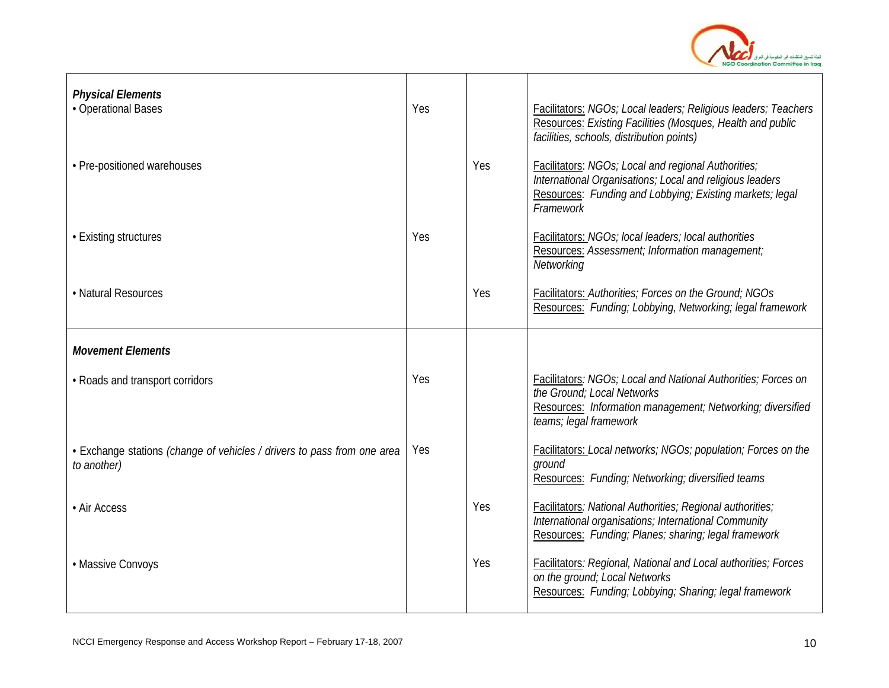

| <b>Physical Elements</b><br>• Operational Bases                                        | Yes |     | Facilitators: NGOs; Local leaders; Religious leaders; Teachers<br>Resources: Existing Facilities (Mosques, Health and public<br>facilities, schools, distribution points)                  |
|----------------------------------------------------------------------------------------|-----|-----|--------------------------------------------------------------------------------------------------------------------------------------------------------------------------------------------|
| • Pre-positioned warehouses                                                            |     | Yes | Facilitators: NGOs; Local and regional Authorities;<br>International Organisations; Local and religious leaders<br>Resources: Funding and Lobbying; Existing markets; legal<br>Framework   |
| • Existing structures                                                                  | Yes |     | Facilitators: NGOs; local leaders; local authorities<br>Resources: Assessment; Information management;<br>Networking                                                                       |
| • Natural Resources                                                                    |     | Yes | Facilitators: Authorities; Forces on the Ground; NGOs<br>Resources: Funding; Lobbying, Networking; legal framework                                                                         |
| <b>Movement Elements</b>                                                               |     |     |                                                                                                                                                                                            |
| • Roads and transport corridors                                                        | Yes |     | <b>Facilitators: NGOs; Local and National Authorities; Forces on</b><br>the Ground: Local Networks<br>Resources: Information management; Networking; diversified<br>teams; legal framework |
| • Exchange stations (change of vehicles / drivers to pass from one area<br>to another) | Yes |     | Facilitators: Local networks; NGOs; population; Forces on the<br>ground<br>Resources: Funding; Networking; diversified teams                                                               |
| • Air Access                                                                           |     | Yes | Facilitators: National Authorities; Regional authorities;<br>International organisations; International Community<br>Resources: Funding; Planes; sharing; legal framework                  |
| • Massive Convoys                                                                      |     | Yes | <b>Facilitators: Regional, National and Local authorities; Forces</b><br>on the ground; Local Networks<br>Resources: Funding; Lobbying; Sharing; legal framework                           |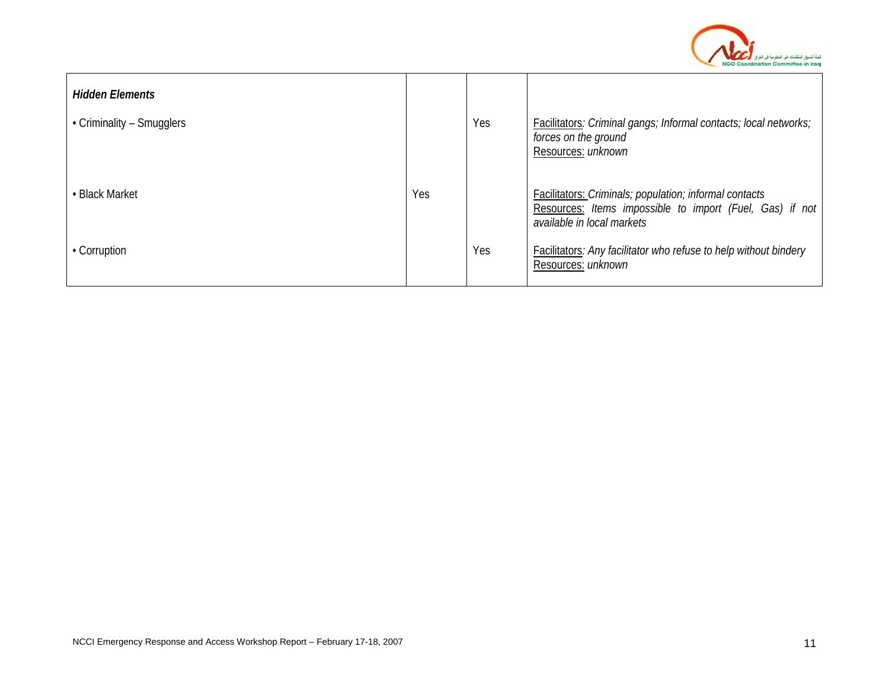

| <b>Hidden Elements</b>    |     |     |                                                                                                                                                         |
|---------------------------|-----|-----|---------------------------------------------------------------------------------------------------------------------------------------------------------|
| • Criminality – Smugglers |     | Yes | Facilitators: Criminal gangs; Informal contacts; local networks;<br>forces on the ground<br>Resources: unknown                                          |
| • Black Market            | Yes |     | <b>Facilitators: Criminals; population; informal contacts</b><br>Resources: Items impossible to import (Fuel, Gas) if not<br>available in local markets |
| • Corruption              |     | Yes | Facilitators: Any facilitator who refuse to help without bindery<br>Resources: unknown                                                                  |